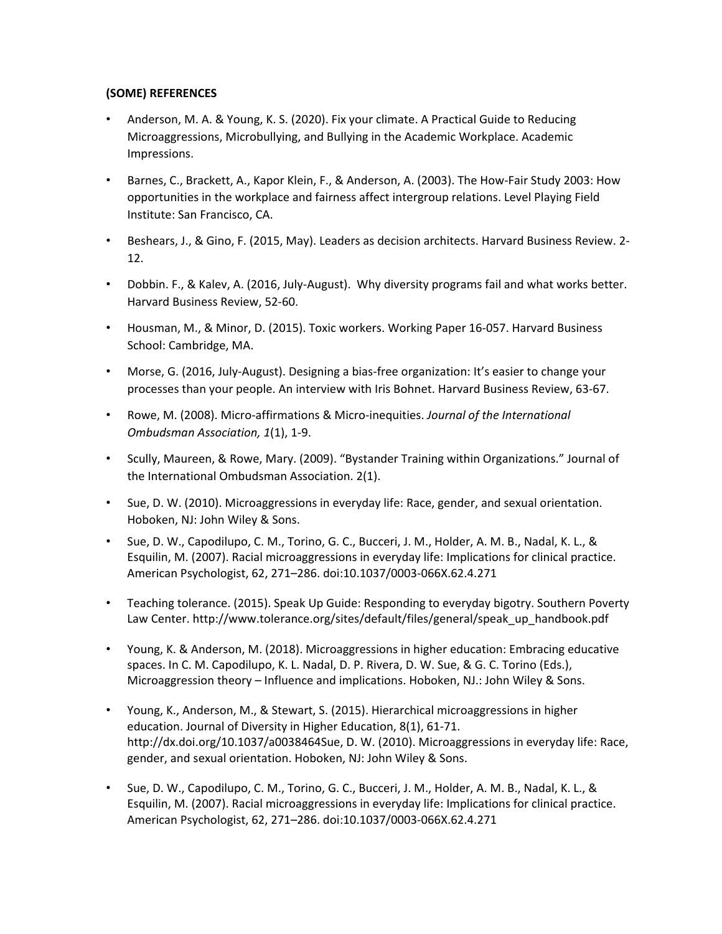## **(SOME) REFERENCES**

- Anderson, M. A. & Young, K. S. (2020). Fix your climate. A Practical Guide to Reducing Microaggressions, Microbullying, and Bullying in the Academic Workplace. Academic Impressions.
- Barnes, C., Brackett, A., Kapor Klein, F., & Anderson, A. (2003). The How-Fair Study 2003: How opportunities in the workplace and fairness affect intergroup relations. Level Playing Field Institute: San Francisco, CA.
- Beshears, J., & Gino, F. (2015, May). Leaders as decision architects. Harvard Business Review. 2- 12.
- Dobbin. F., & Kalev, A. (2016, July-August). Why diversity programs fail and what works better. Harvard Business Review, 52-60.
- Housman, M., & Minor, D. (2015). Toxic workers. Working Paper 16-057. Harvard Business School: Cambridge, MA.
- Morse, G. (2016, July-August). Designing a bias-free organization: It's easier to change your processes than your people. An interview with Iris Bohnet. Harvard Business Review, 63-67.
- Rowe, M. (2008). Micro-affirmations & Micro-inequities. *Journal of the International Ombudsman Association, 1*(1), 1-9.
- Scully, Maureen, & Rowe, Mary. (2009). "Bystander Training within Organizations." Journal of the International Ombudsman Association. 2(1).
- Sue, D. W. (2010). Microaggressions in everyday life: Race, gender, and sexual orientation. Hoboken, NJ: John Wiley & Sons.
- Sue, D. W., Capodilupo, C. M., Torino, G. C., Bucceri, J. M., Holder, A. M. B., Nadal, K. L., & Esquilin, M. (2007). Racial microaggressions in everyday life: Implications for clinical practice. American Psychologist, 62, 271–286. doi:10.1037/0003-066X.62.4.271
- Teaching tolerance. (2015). Speak Up Guide: Responding to everyday bigotry. Southern Poverty Law Center. http://www.tolerance.org/sites/default/files/general/speak\_up\_handbook.pdf
- Young, K. & Anderson, M. (2018). Microaggressions in higher education: Embracing educative spaces. In C. M. Capodilupo, K. L. Nadal, D. P. Rivera, D. W. Sue, & G. C. Torino (Eds.), Microaggression theory – Influence and implications. Hoboken, NJ.: John Wiley & Sons.
- Young, K., Anderson, M., & Stewart, S. (2015). Hierarchical microaggressions in higher education. Journal of Diversity in Higher Education, 8(1), 61-71. http://dx.doi.org/10.1037/a0038464Sue, D. W. (2010). Microaggressions in everyday life: Race, gender, and sexual orientation. Hoboken, NJ: John Wiley & Sons.
- Sue, D. W., Capodilupo, C. M., Torino, G. C., Bucceri, J. M., Holder, A. M. B., Nadal, K. L., & Esquilin, M. (2007). Racial microaggressions in everyday life: Implications for clinical practice. American Psychologist, 62, 271–286. doi:10.1037/0003-066X.62.4.271